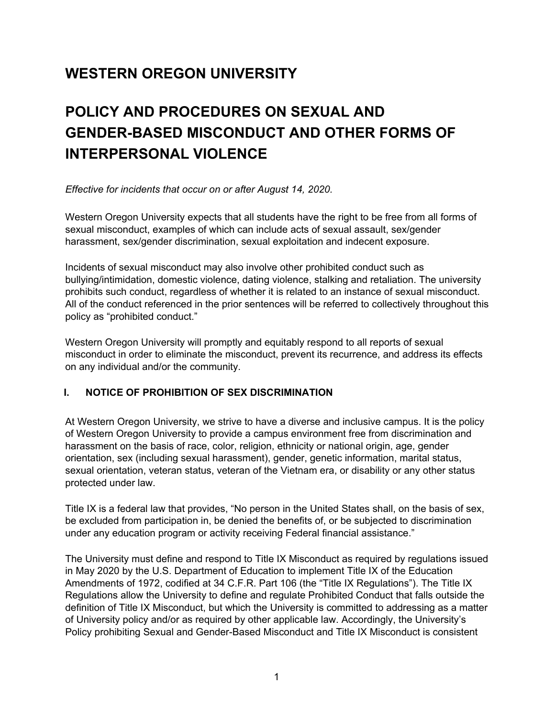## **WESTERN OREGON UNIVERSITY**

# **POLICY AND PROCEDURES ON SEXUAL AND GENDER-BASED MISCONDUCT AND OTHER FORMS OF INTERPERSONAL VIOLENCE**

*Effective for incidents that occur on or after August 14, 2020.*

Western Oregon University expects that all students have the right to be free from all forms of sexual misconduct, examples of which can include acts of sexual assault, sex/gender harassment, sex/gender discrimination, sexual exploitation and indecent exposure.

Incidents of sexual misconduct may also involve other prohibited conduct such as bullying/intimidation, domestic violence, dating violence, stalking and retaliation. The university prohibits such conduct, regardless of whether it is related to an instance of sexual misconduct. All of the conduct referenced in the prior sentences will be referred to collectively throughout this policy as "prohibited conduct."

Western Oregon University will promptly and equitably respond to all reports of sexual misconduct in order to eliminate the misconduct, prevent its recurrence, and address its effects on any individual and/or the community.

#### **I. NOTICE OF PROHIBITION OF SEX DISCRIMINATION**

At Western Oregon University, we strive to have a diverse and inclusive campus. It is the policy of Western Oregon University to provide a campus environment free from discrimination and harassment on the basis of race, color, religion, ethnicity or national origin, age, gender orientation, sex (including sexual harassment), gender, genetic information, marital status, sexual orientation, veteran status, veteran of the Vietnam era, or disability or any other status protected under law.

Title IX is a federal law that provides, "No person in the United States shall, on the basis of sex, be excluded from participation in, be denied the benefits of, or be subjected to discrimination under any education program or activity receiving Federal financial assistance."

The University must define and respond to Title IX Misconduct as required by regulations issued in May 2020 by the U.S. Department of Education to implement Title IX of the Education Amendments of 1972, codified at 34 C.F.R. Part 106 (the "Title IX Regulations"). The Title IX Regulations allow the University to define and regulate Prohibited Conduct that falls outside the definition of Title IX Misconduct, but which the University is committed to addressing as a matter of University policy and/or as required by other applicable law. Accordingly, the University's Policy prohibiting Sexual and Gender-Based Misconduct and Title IX Misconduct is consistent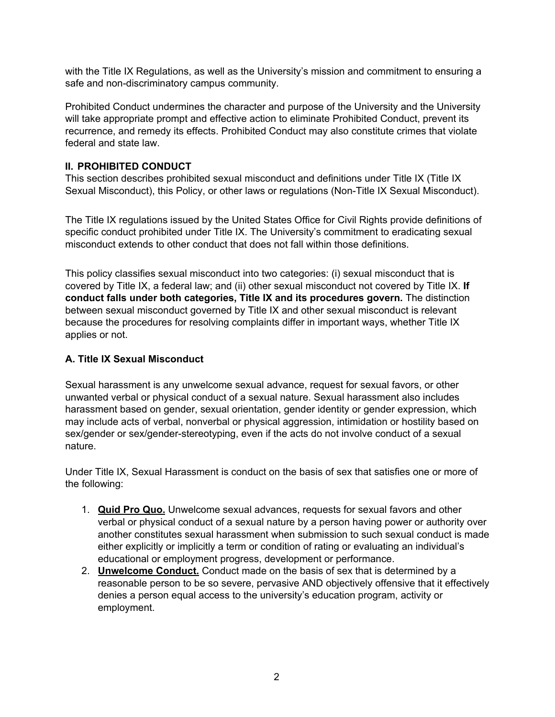with the Title IX Regulations, as well as the University's mission and commitment to ensuring a safe and non-discriminatory campus community.

Prohibited Conduct undermines the character and purpose of the University and the University will take appropriate prompt and effective action to eliminate Prohibited Conduct, prevent its recurrence, and remedy its effects. Prohibited Conduct may also constitute crimes that violate federal and state law.

## **II. PROHIBITED CONDUCT**

This section describes prohibited sexual misconduct and definitions under Title IX (Title IX Sexual Misconduct), this Policy, or other laws or regulations (Non-Title IX Sexual Misconduct).

The Title IX regulations issued by the United States Office for Civil Rights provide definitions of specific conduct prohibited under Title IX. The University's commitment to eradicating sexual misconduct extends to other conduct that does not fall within those definitions.

This policy classifies sexual misconduct into two categories: (i) sexual misconduct that is covered by Title IX, a federal law; and (ii) other sexual misconduct not covered by Title IX. **If conduct falls under both categories, Title IX and its procedures govern.** The distinction between sexual misconduct governed by Title IX and other sexual misconduct is relevant because the procedures for resolving complaints differ in important ways, whether Title IX applies or not.

### **A. Title IX Sexual Misconduct**

Sexual harassment is any unwelcome sexual advance, request for sexual favors, or other unwanted verbal or physical conduct of a sexual nature. Sexual harassment also includes harassment based on gender, sexual orientation, gender identity or gender expression, which may include acts of verbal, nonverbal or physical aggression, intimidation or hostility based on sex/gender or sex/gender-stereotyping, even if the acts do not involve conduct of a sexual nature.

Under Title IX, Sexual Harassment is conduct on the basis of sex that satisfies one or more of the following:

- 1. **Quid Pro Quo.** Unwelcome sexual advances, requests for sexual favors and other verbal or physical conduct of a sexual nature by a person having power or authority over another constitutes sexual harassment when submission to such sexual conduct is made either explicitly or implicitly a term or condition of rating or evaluating an individual's educational or employment progress, development or performance.
- 2. **Unwelcome Conduct.** Conduct made on the basis of sex that is determined by a reasonable person to be so severe, pervasive AND objectively offensive that it effectively denies a person equal access to the university's education program, activity or employment.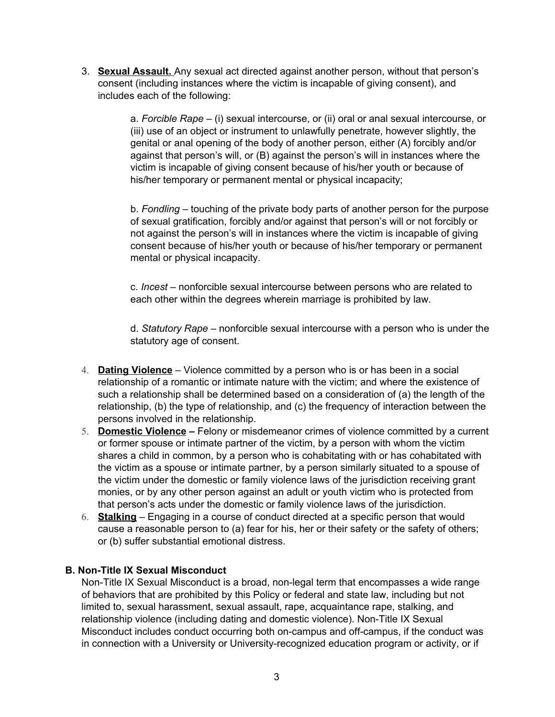3. **Sexual Assault.** Any sexual act directed against another person, without that person's consent (including instances where the victim is incapable of giving consent), and includes each of the following:

> a. *Forcible Rape* – (i) sexual intercourse, or (ii) oral or anal sexual intercourse, or (iii) use of an object or instrument to unlawfully penetrate, however slightly, the genital or anal opening of the body of another person, either (A) forcibly and/or against that person's will, or (B) against the person's will in instances where the victim is incapable of giving consent because of his/her youth or because of his/her temporary or permanent mental or physical incapacity;

> b. *Fondling* – touching of the private body parts of another person for the purpose of sexual gratification, forcibly and/or against that person's will or not forcibly or not against the person's will in instances where the victim is incapable of giving consent because of his/her youth or because of his/her temporary or permanent mental or physical incapacity.

c. *Incest* – nonforcible sexual intercourse between persons who are related to each other within the degrees wherein marriage is prohibited by law.

d. *Statutory Rape* – nonforcible sexual intercourse with a person who is under the statutory age of consent.

- 4. **Dating Violence** Violence committed by a person who is or has been in a social relationship of a romantic or intimate nature with the victim; and where the existence of such a relationship shall be determined based on a consideration of (a) the length of the relationship, (b) the type of relationship, and (c) the frequency of interaction between the persons involved in the relationship.
- 5. **Domestic Violence –** Felony or misdemeanor crimes of violence committed by a current or former spouse or intimate partner of the victim, by a person with whom the victim shares a child in common, by a person who is cohabitating with or has cohabitated with the victim as a spouse or intimate partner, by a person similarly situated to a spouse of the victim under the domestic or family violence laws of the jurisdiction receiving grant monies, or by any other person against an adult or youth victim who is protected from that person's acts under the domestic or family violence laws of the jurisdiction.
- 6. **Stalking** Engaging in a course of conduct directed at a specific person that would cause a reasonable person to (a) fear for his, her or their safety or the safety of others; or (b) suffer substantial emotional distress.

#### **B. Non-Title IX Sexual Misconduct**

Non-Title IX Sexual Misconduct is a broad, non-legal term that encompasses a wide range of behaviors that are prohibited by this Policy or federal and state law, including but not limited to, sexual harassment, sexual assault, rape, acquaintance rape, stalking, and relationship violence (including dating and domestic violence). Non-Title IX Sexual Misconduct includes conduct occurring both on-campus and off-campus, if the conduct was in connection with a University or University-recognized education program or activity, or if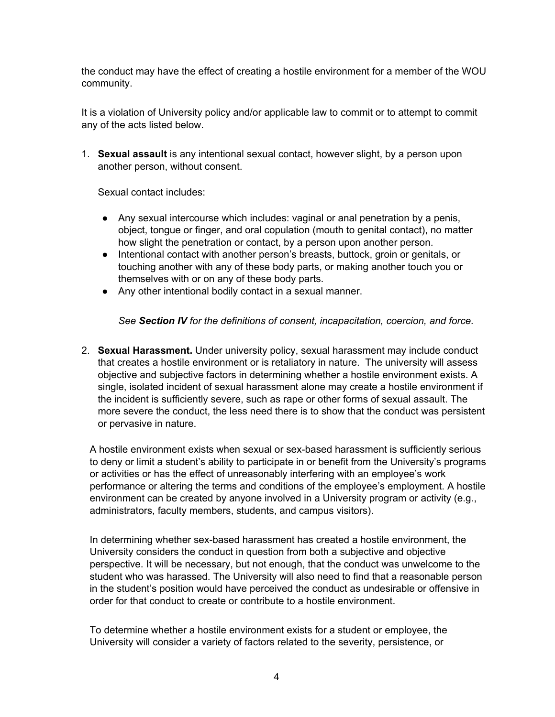the conduct may have the effect of creating a hostile environment for a member of the WOU community.

It is a violation of University policy and/or applicable law to commit or to attempt to commit any of the acts listed below.

1. **Sexual assault** is any intentional sexual contact, however slight, by a person upon another person, without consent.

Sexual contact includes:

- Any sexual intercourse which includes: vaginal or anal penetration by a penis, object, tongue or finger, and oral copulation (mouth to genital contact), no matter how slight the penetration or contact, by a person upon another person.
- Intentional contact with another person's breasts, buttock, groin or genitals, or touching another with any of these body parts, or making another touch you or themselves with or on any of these body parts.
- Any other intentional bodily contact in a sexual manner.

*See Section IV for the definitions of consent, incapacitation, coercion, and force.*

2. **Sexual Harassment.** Under university policy, sexual harassment may include conduct that creates a hostile environment or is retaliatory in nature. The university will assess objective and subjective factors in determining whether a hostile environment exists. A single, isolated incident of sexual harassment alone may create a hostile environment if the incident is sufficiently severe, such as rape or other forms of sexual assault. The more severe the conduct, the less need there is to show that the conduct was persistent or pervasive in nature.

A hostile environment exists when sexual or sex-based harassment is sufficiently serious to deny or limit a student's ability to participate in or benefit from the University's programs or activities or has the effect of unreasonably interfering with an employee's work performance or altering the terms and conditions of the employee's employment. A hostile environment can be created by anyone involved in a University program or activity (e.g., administrators, faculty members, students, and campus visitors).

In determining whether sex-based harassment has created a hostile environment, the University considers the conduct in question from both a subjective and objective perspective. It will be necessary, but not enough, that the conduct was unwelcome to the student who was harassed. The University will also need to find that a reasonable person in the student's position would have perceived the conduct as undesirable or offensive in order for that conduct to create or contribute to a hostile environment.

To determine whether a hostile environment exists for a student or employee, the University will consider a variety of factors related to the severity, persistence, or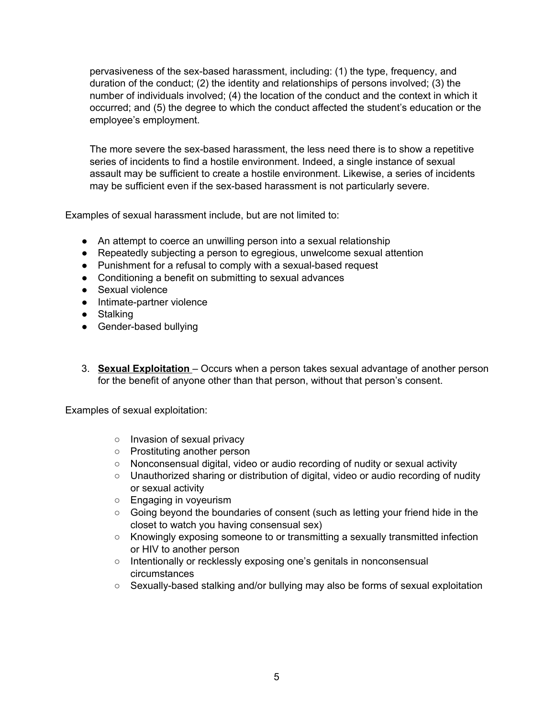pervasiveness of the sex-based harassment, including: (1) the type, frequency, and duration of the conduct; (2) the identity and relationships of persons involved; (3) the number of individuals involved; (4) the location of the conduct and the context in which it occurred; and (5) the degree to which the conduct affected the student's education or the employee's employment.

The more severe the sex-based harassment, the less need there is to show a repetitive series of incidents to find a hostile environment. Indeed, a single instance of sexual assault may be sufficient to create a hostile environment. Likewise, a series of incidents may be sufficient even if the sex-based harassment is not particularly severe.

Examples of sexual harassment include, but are not limited to:

- An attempt to coerce an unwilling person into a sexual relationship
- Repeatedly subjecting a person to egregious, unwelcome sexual attention
- Punishment for a refusal to comply with a sexual-based request
- Conditioning a benefit on submitting to sexual advances
- Sexual violence
- Intimate-partner violence
- Stalking
- Gender-based bullying
- 3. **Sexual Exploitation** Occurs when a person takes sexual advantage of another person for the benefit of anyone other than that person, without that person's consent.

Examples of sexual exploitation:

- Invasion of sexual privacy
- Prostituting another person
- Nonconsensual digital, video or audio recording of nudity or sexual activity
- Unauthorized sharing or distribution of digital, video or audio recording of nudity or sexual activity
- Engaging in voyeurism
- Going beyond the boundaries of consent (such as letting your friend hide in the closet to watch you having consensual sex)
- Knowingly exposing someone to or transmitting a sexually transmitted infection or HIV to another person
- o Intentionally or recklessly exposing one's genitals in nonconsensual circumstances
- Sexually-based stalking and/or bullying may also be forms of sexual exploitation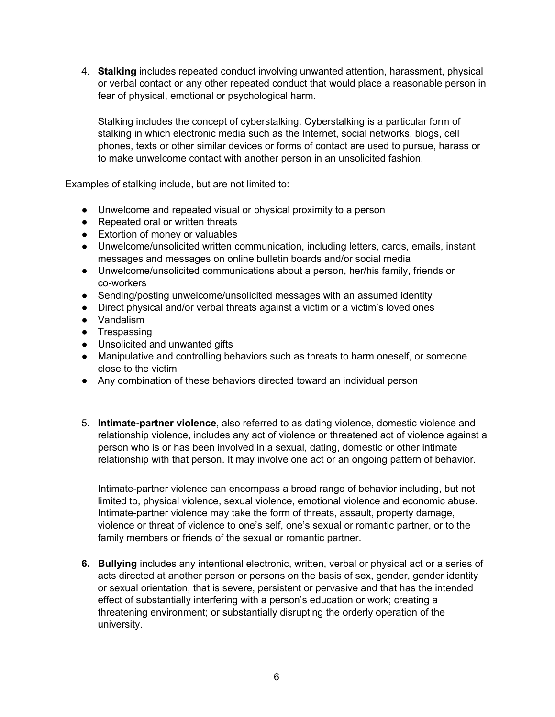4. **Stalking** includes repeated conduct involving unwanted attention, harassment, physical or verbal contact or any other repeated conduct that would place a reasonable person in fear of physical, emotional or psychological harm.

Stalking includes the concept of cyberstalking. Cyberstalking is a particular form of stalking in which electronic media such as the Internet, social networks, blogs, cell phones, texts or other similar devices or forms of contact are used to pursue, harass or to make unwelcome contact with another person in an unsolicited fashion.

Examples of stalking include, but are not limited to:

- Unwelcome and repeated visual or physical proximity to a person
- Repeated oral or written threats
- Extortion of money or valuables
- Unwelcome/unsolicited written communication, including letters, cards, emails, instant messages and messages on online bulletin boards and/or social media
- Unwelcome/unsolicited communications about a person, her/his family, friends or co-workers
- Sending/posting unwelcome/unsolicited messages with an assumed identity
- Direct physical and/or verbal threats against a victim or a victim's loved ones
- Vandalism
- Trespassing
- Unsolicited and unwanted gifts
- Manipulative and controlling behaviors such as threats to harm oneself, or someone close to the victim
- Any combination of these behaviors directed toward an individual person
- 5. **Intimate-partner violence**, also referred to as dating violence, domestic violence and relationship violence, includes any act of violence or threatened act of violence against a person who is or has been involved in a sexual, dating, domestic or other intimate relationship with that person. It may involve one act or an ongoing pattern of behavior.

Intimate-partner violence can encompass a broad range of behavior including, but not limited to, physical violence, sexual violence, emotional violence and economic abuse. Intimate-partner violence may take the form of threats, assault, property damage, violence or threat of violence to one's self, one's sexual or romantic partner, or to the family members or friends of the sexual or romantic partner.

**6. Bullying** includes any intentional electronic, written, verbal or physical act or a series of acts directed at another person or persons on the basis of sex, gender, gender identity or sexual orientation, that is severe, persistent or pervasive and that has the intended effect of substantially interfering with a person's education or work; creating a threatening environment; or substantially disrupting the orderly operation of the university.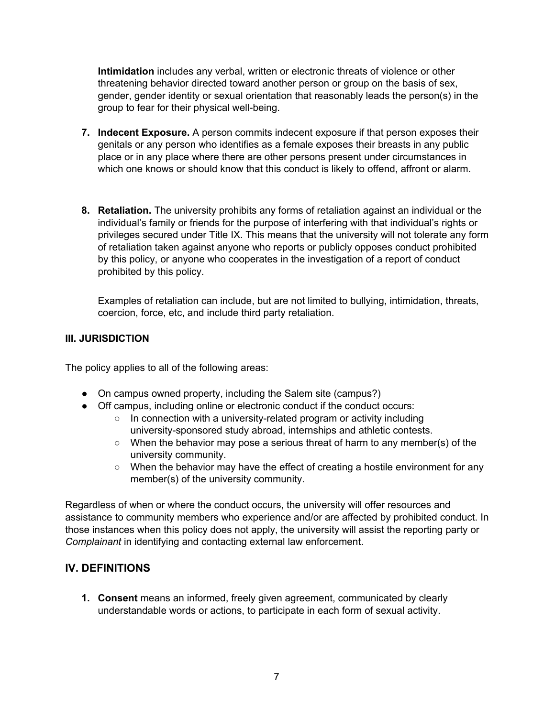**Intimidation** includes any verbal, written or electronic threats of violence or other threatening behavior directed toward another person or group on the basis of sex, gender, gender identity or sexual orientation that reasonably leads the person(s) in the group to fear for their physical well-being.

- **7. Indecent Exposure.** A person commits indecent exposure if that person exposes their genitals or any person who identifies as a female exposes their breasts in any public place or in any place where there are other persons present under circumstances in which one knows or should know that this conduct is likely to offend, affront or alarm.
- **8. Retaliation.** The university prohibits any forms of retaliation against an individual or the individual's family or friends for the purpose of interfering with that individual's rights or privileges secured under Title IX. This means that the university will not tolerate any form of retaliation taken against anyone who reports or publicly opposes conduct prohibited by this policy, or anyone who cooperates in the investigation of a report of conduct prohibited by this policy.

Examples of retaliation can include, but are not limited to bullying, intimidation, threats, coercion, force, etc, and include third party retaliation.

#### **III. JURISDICTION**

The policy applies to all of the following areas:

- On campus owned property, including the Salem site (campus?)
- Off campus, including online or electronic conduct if the conduct occurs:
	- In connection with a university-related program or activity including university-sponsored study abroad, internships and athletic contests.
	- When the behavior may pose a serious threat of harm to any member(s) of the university community.
	- When the behavior may have the effect of creating a hostile environment for any member(s) of the university community.

Regardless of when or where the conduct occurs, the university will offer resources and assistance to community members who experience and/or are affected by prohibited conduct. In those instances when this policy does not apply, the university will assist the reporting party or *Complainant* in identifying and contacting external law enforcement.

## **IV. DEFINITIONS**

**1. Consent** means an informed, freely given agreement, communicated by clearly understandable words or actions, to participate in each form of sexual activity.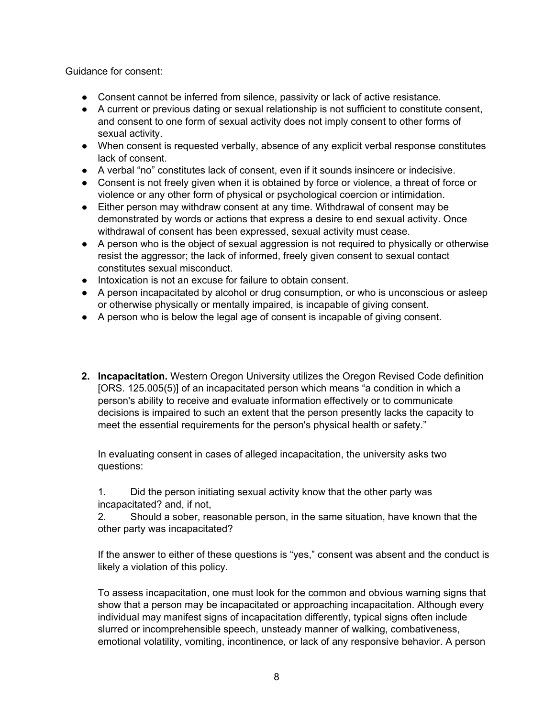Guidance for consent:

- Consent cannot be inferred from silence, passivity or lack of active resistance.
- A current or previous dating or sexual relationship is not sufficient to constitute consent, and consent to one form of sexual activity does not imply consent to other forms of sexual activity.
- When consent is requested verbally, absence of any explicit verbal response constitutes lack of consent.
- A verbal "no" constitutes lack of consent, even if it sounds insincere or indecisive.
- Consent is not freely given when it is obtained by force or violence, a threat of force or violence or any other form of physical or psychological coercion or intimidation.
- Either person may withdraw consent at any time. Withdrawal of consent may be demonstrated by words or actions that express a desire to end sexual activity. Once withdrawal of consent has been expressed, sexual activity must cease.
- A person who is the object of sexual aggression is not required to physically or otherwise resist the aggressor; the lack of informed, freely given consent to sexual contact constitutes sexual misconduct.
- Intoxication is not an excuse for failure to obtain consent.
- A person incapacitated by alcohol or drug consumption, or who is unconscious or asleep or otherwise physically or mentally impaired, is incapable of giving consent.
- A person who is below the legal age of consent is incapable of giving consent.
- **2. Incapacitation.** Western Oregon University utilizes the Oregon Revised Code definition [ORS. 125.005(5)] of an incapacitated person which means "a condition in which a person's ability to receive and evaluate information effectively or to communicate decisions is impaired to such an extent that the person presently lacks the capacity to meet the essential requirements for the person's physical health or safety."

In evaluating consent in cases of alleged incapacitation, the university asks two questions:

1. Did the person initiating sexual activity know that the other party was incapacitated? and, if not,

2. Should a sober, reasonable person, in the same situation, have known that the other party was incapacitated?

If the answer to either of these questions is "yes," consent was absent and the conduct is likely a violation of this policy.

To assess incapacitation, one must look for the common and obvious warning signs that show that a person may be incapacitated or approaching incapacitation. Although every individual may manifest signs of incapacitation differently, typical signs often include slurred or incomprehensible speech, unsteady manner of walking, combativeness, emotional volatility, vomiting, incontinence, or lack of any responsive behavior. A person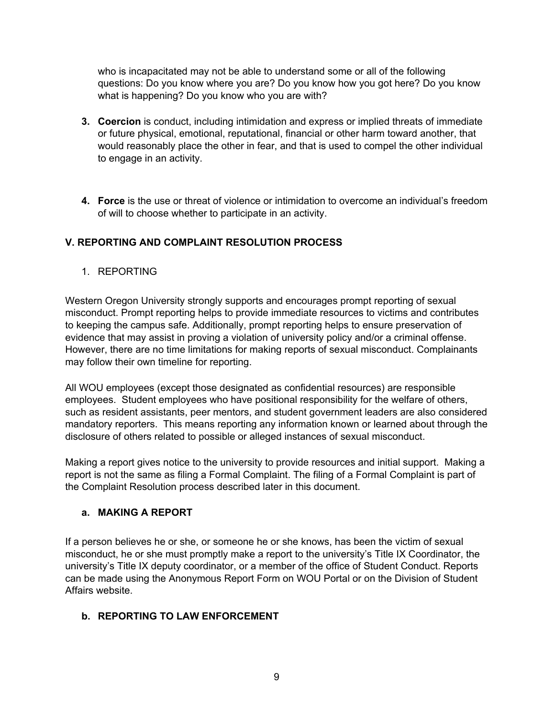who is incapacitated may not be able to understand some or all of the following questions: Do you know where you are? Do you know how you got here? Do you know what is happening? Do you know who you are with?

- **3. Coercion** is conduct, including intimidation and express or implied threats of immediate or future physical, emotional, reputational, financial or other harm toward another, that would reasonably place the other in fear, and that is used to compel the other individual to engage in an activity.
- **4. Force** is the use or threat of violence or intimidation to overcome an individual's freedom of will to choose whether to participate in an activity.

## **V. REPORTING AND COMPLAINT RESOLUTION PROCESS**

1. REPORTING

Western Oregon University strongly supports and encourages prompt reporting of sexual misconduct. Prompt reporting helps to provide immediate resources to victims and contributes to keeping the campus safe. Additionally, prompt reporting helps to ensure preservation of evidence that may assist in proving a violation of university policy and/or a criminal offense. However, there are no time limitations for making reports of sexual misconduct. Complainants may follow their own timeline for reporting.

All WOU employees (except those designated as confidential resources) are responsible employees. Student employees who have positional responsibility for the welfare of others, such as resident assistants, peer mentors, and student government leaders are also considered mandatory reporters. This means reporting any information known or learned about through the disclosure of others related to possible or alleged instances of sexual misconduct.

Making a report gives notice to the university to provide resources and initial support. Making a report is not the same as filing a Formal Complaint. The filing of a Formal Complaint is part of the Complaint Resolution process described later in this document.

#### **a. MAKING A REPORT**

If a person believes he or she, or someone he or she knows, has been the victim of sexual misconduct, he or she must promptly make a report to the university's Title IX Coordinator, the university's Title IX deputy coordinator, or a member of the office of Student Conduct. Reports can be made using the Anonymous Report Form on WOU Portal or on the Division of Student Affairs website.

#### **b. REPORTING TO LAW ENFORCEMENT**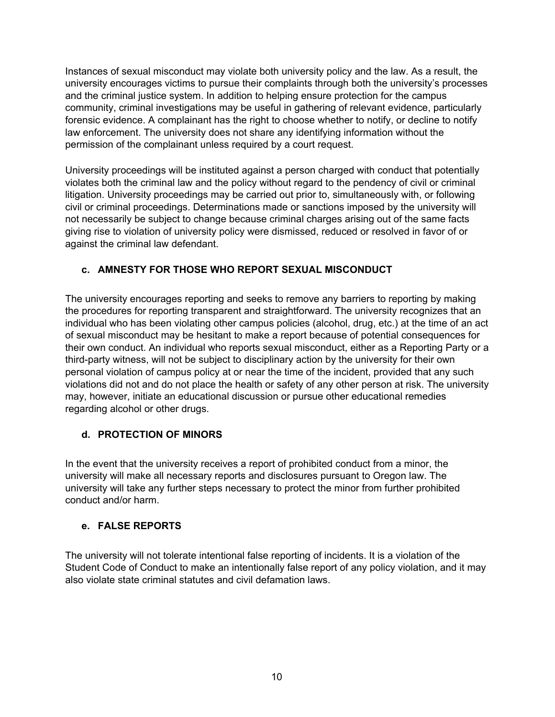Instances of sexual misconduct may violate both university policy and the law. As a result, the university encourages victims to pursue their complaints through both the university's processes and the criminal justice system. In addition to helping ensure protection for the campus community, criminal investigations may be useful in gathering of relevant evidence, particularly forensic evidence. A complainant has the right to choose whether to notify, or decline to notify law enforcement. The university does not share any identifying information without the permission of the complainant unless required by a court request.

University proceedings will be instituted against a person charged with conduct that potentially violates both the criminal law and the policy without regard to the pendency of civil or criminal litigation. University proceedings may be carried out prior to, simultaneously with, or following civil or criminal proceedings. Determinations made or sanctions imposed by the university will not necessarily be subject to change because criminal charges arising out of the same facts giving rise to violation of university policy were dismissed, reduced or resolved in favor of or against the criminal law defendant.

#### **c. AMNESTY FOR THOSE WHO REPORT SEXUAL MISCONDUCT**

The university encourages reporting and seeks to remove any barriers to reporting by making the procedures for reporting transparent and straightforward. The university recognizes that an individual who has been violating other campus policies (alcohol, drug, etc.) at the time of an act of sexual misconduct may be hesitant to make a report because of potential consequences for their own conduct. An individual who reports sexual misconduct, either as a Reporting Party or a third-party witness, will not be subject to disciplinary action by the university for their own personal violation of campus policy at or near the time of the incident, provided that any such violations did not and do not place the health or safety of any other person at risk. The university may, however, initiate an educational discussion or pursue other educational remedies regarding alcohol or other drugs.

#### **d. PROTECTION OF MINORS**

In the event that the university receives a report of prohibited conduct from a minor, the university will make all necessary reports and disclosures pursuant to Oregon law. The university will take any further steps necessary to protect the minor from further prohibited conduct and/or harm.

#### **e. FALSE REPORTS**

The university will not tolerate intentional false reporting of incidents. It is a violation of the Student Code of Conduct to make an intentionally false report of any policy violation, and it may also violate state criminal statutes and civil defamation laws.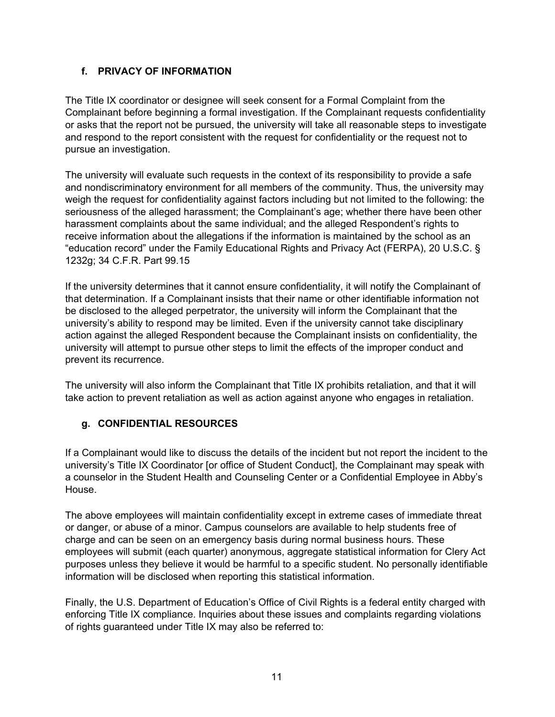## **f. PRIVACY OF INFORMATION**

The Title IX coordinator or designee will seek consent for a Formal Complaint from the Complainant before beginning a formal investigation. If the Complainant requests confidentiality or asks that the report not be pursued, the university will take all reasonable steps to investigate and respond to the report consistent with the request for confidentiality or the request not to pursue an investigation.

The university will evaluate such requests in the context of its responsibility to provide a safe and nondiscriminatory environment for all members of the community. Thus, the university may weigh the request for confidentiality against factors including but not limited to the following: the seriousness of the alleged harassment; the Complainant's age; whether there have been other harassment complaints about the same individual; and the alleged Respondent's rights to receive information about the allegations if the information is maintained by the school as an "education record" under the Family Educational Rights and Privacy Act (FERPA), 20 U.S.C. § 1232g; 34 C.F.R. Part 99.15

If the university determines that it cannot ensure confidentiality, it will notify the Complainant of that determination. If a Complainant insists that their name or other identifiable information not be disclosed to the alleged perpetrator, the university will inform the Complainant that the university's ability to respond may be limited. Even if the university cannot take disciplinary action against the alleged Respondent because the Complainant insists on confidentiality, the university will attempt to pursue other steps to limit the effects of the improper conduct and prevent its recurrence.

The university will also inform the Complainant that Title IX prohibits retaliation, and that it will take action to prevent retaliation as well as action against anyone who engages in retaliation.

## **g. CONFIDENTIAL RESOURCES**

If a Complainant would like to discuss the details of the incident but not report the incident to the university's Title IX Coordinator [or office of Student Conduct], the Complainant may speak with a counselor in the Student Health and Counseling Center or a Confidential Employee in Abby's House.

The above employees will maintain confidentiality except in extreme cases of immediate threat or danger, or abuse of a minor. Campus counselors are available to help students free of charge and can be seen on an emergency basis during normal business hours. These employees will submit (each quarter) anonymous, aggregate statistical information for Clery Act purposes unless they believe it would be harmful to a specific student. No personally identifiable information will be disclosed when reporting this statistical information.

Finally, the U.S. Department of Education's Office of Civil Rights is a federal entity charged with enforcing Title IX compliance. Inquiries about these issues and complaints regarding violations of rights guaranteed under Title IX may also be referred to: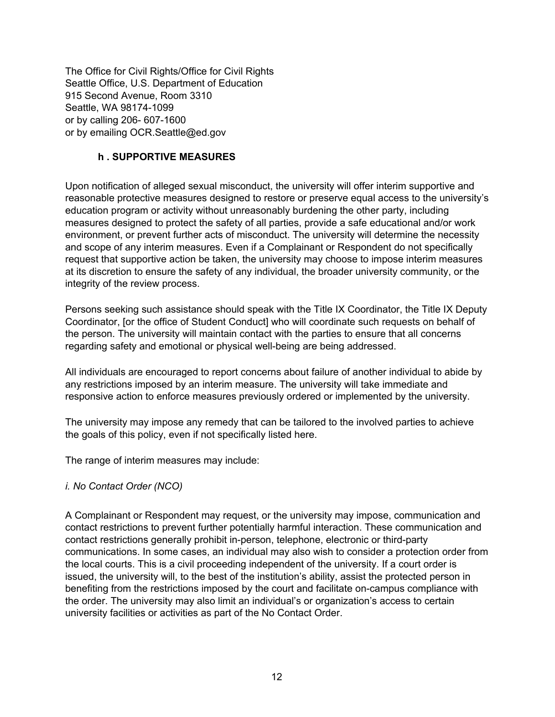The Office for Civil Rights/Office for Civil Rights Seattle Office, U.S. Department of Education 915 Second Avenue, Room 3310 Seattle, WA 98174-1099 or by calling 206- 607-1600 or by emailing OCR.Seattle@ed.gov

#### **h . SUPPORTIVE MEASURES**

Upon notification of alleged sexual misconduct, the university will offer interim supportive and reasonable protective measures designed to restore or preserve equal access to the university's education program or activity without unreasonably burdening the other party, including measures designed to protect the safety of all parties, provide a safe educational and/or work environment, or prevent further acts of misconduct. The university will determine the necessity and scope of any interim measures. Even if a Complainant or Respondent do not specifically request that supportive action be taken, the university may choose to impose interim measures at its discretion to ensure the safety of any individual, the broader university community, or the integrity of the review process.

Persons seeking such assistance should speak with the Title IX Coordinator, the Title IX Deputy Coordinator, [or the office of Student Conduct] who will coordinate such requests on behalf of the person. The university will maintain contact with the parties to ensure that all concerns regarding safety and emotional or physical well-being are being addressed.

All individuals are encouraged to report concerns about failure of another individual to abide by any restrictions imposed by an interim measure. The university will take immediate and responsive action to enforce measures previously ordered or implemented by the university.

The university may impose any remedy that can be tailored to the involved parties to achieve the goals of this policy, even if not specifically listed here.

The range of interim measures may include:

#### *i. No Contact Order (NCO)*

A Complainant or Respondent may request, or the university may impose, communication and contact restrictions to prevent further potentially harmful interaction. These communication and contact restrictions generally prohibit in-person, telephone, electronic or third-party communications. In some cases, an individual may also wish to consider a protection order from the local courts. This is a civil proceeding independent of the university. If a court order is issued, the university will, to the best of the institution's ability, assist the protected person in benefiting from the restrictions imposed by the court and facilitate on-campus compliance with the order. The university may also limit an individual's or organization's access to certain university facilities or activities as part of the No Contact Order.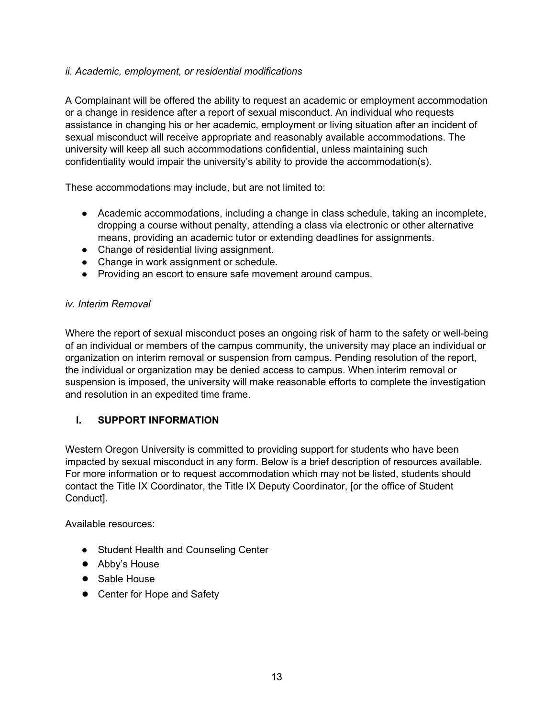#### *ii. Academic, employment, or residential modifications*

A Complainant will be offered the ability to request an academic or employment accommodation or a change in residence after a report of sexual misconduct. An individual who requests assistance in changing his or her academic, employment or living situation after an incident of sexual misconduct will receive appropriate and reasonably available accommodations. The university will keep all such accommodations confidential, unless maintaining such confidentiality would impair the university's ability to provide the accommodation(s).

These accommodations may include, but are not limited to:

- Academic accommodations, including a change in class schedule, taking an incomplete, dropping a course without penalty, attending a class via electronic or other alternative means, providing an academic tutor or extending deadlines for assignments.
- Change of residential living assignment.
- Change in work assignment or schedule.
- Providing an escort to ensure safe movement around campus.

#### *iv. Interim Removal*

Where the report of sexual misconduct poses an ongoing risk of harm to the safety or well-being of an individual or members of the campus community, the university may place an individual or organization on interim removal or suspension from campus. Pending resolution of the report, the individual or organization may be denied access to campus. When interim removal or suspension is imposed, the university will make reasonable efforts to complete the investigation and resolution in an expedited time frame.

#### **I. SUPPORT INFORMATION**

Western Oregon University is committed to providing support for students who have been impacted by sexual misconduct in any form. Below is a brief description of resources available. For more information or to request accommodation which may not be listed, students should contact the Title IX Coordinator, the Title IX Deputy Coordinator, [or the office of Student Conduct].

Available resources:

- Student Health and Counseling Center
- Abby's House
- Sable House
- Center for Hope and Safety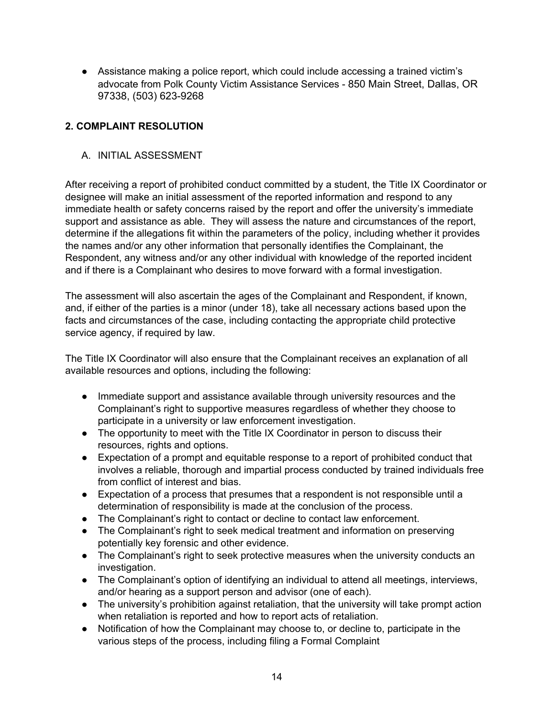● Assistance making a police report, which could include accessing a trained victim's advocate from Polk County Victim Assistance Services - 850 Main Street, Dallas, OR 97338, (503) 623-9268

## **2. COMPLAINT RESOLUTION**

#### A. INITIAL ASSESSMENT

After receiving a report of prohibited conduct committed by a student, the Title IX Coordinator or designee will make an initial assessment of the reported information and respond to any immediate health or safety concerns raised by the report and offer the university's immediate support and assistance as able. They will assess the nature and circumstances of the report, determine if the allegations fit within the parameters of the policy, including whether it provides the names and/or any other information that personally identifies the Complainant, the Respondent, any witness and/or any other individual with knowledge of the reported incident and if there is a Complainant who desires to move forward with a formal investigation.

The assessment will also ascertain the ages of the Complainant and Respondent, if known, and, if either of the parties is a minor (under 18), take all necessary actions based upon the facts and circumstances of the case, including contacting the appropriate child protective service agency, if required by law.

The Title IX Coordinator will also ensure that the Complainant receives an explanation of all available resources and options, including the following:

- Immediate support and assistance available through university resources and the Complainant's right to supportive measures regardless of whether they choose to participate in a university or law enforcement investigation.
- The opportunity to meet with the Title IX Coordinator in person to discuss their resources, rights and options.
- Expectation of a prompt and equitable response to a report of prohibited conduct that involves a reliable, thorough and impartial process conducted by trained individuals free from conflict of interest and bias.
- Expectation of a process that presumes that a respondent is not responsible until a determination of responsibility is made at the conclusion of the process.
- The Complainant's right to contact or decline to contact law enforcement.
- The Complainant's right to seek medical treatment and information on preserving potentially key forensic and other evidence.
- The Complainant's right to seek protective measures when the university conducts an investigation.
- The Complainant's option of identifying an individual to attend all meetings, interviews, and/or hearing as a support person and advisor (one of each).
- The university's prohibition against retaliation, that the university will take prompt action when retaliation is reported and how to report acts of retaliation.
- Notification of how the Complainant may choose to, or decline to, participate in the various steps of the process, including filing a Formal Complaint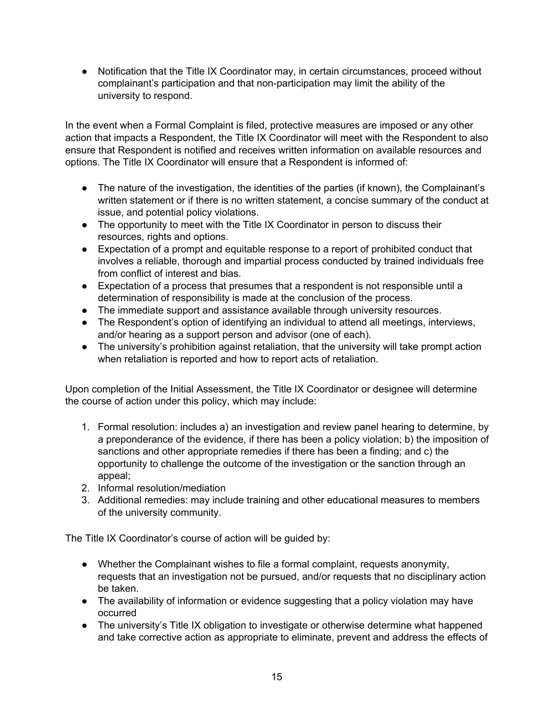● Notification that the Title IX Coordinator may, in certain circumstances, proceed without complainant's participation and that non-participation may limit the ability of the university to respond.

In the event when a Formal Complaint is filed, protective measures are imposed or any other action that impacts a Respondent, the Title IX Coordinator will meet with the Respondent to also ensure that Respondent is notified and receives written information on available resources and options. The Title IX Coordinator will ensure that a Respondent is informed of:

- The nature of the investigation, the identities of the parties (if known), the Complainant's written statement or if there is no written statement, a concise summary of the conduct at issue, and potential policy violations.
- The opportunity to meet with the Title IX Coordinator in person to discuss their resources, rights and options.
- Expectation of a prompt and equitable response to a report of prohibited conduct that involves a reliable, thorough and impartial process conducted by trained individuals free from conflict of interest and bias.
- Expectation of a process that presumes that a respondent is not responsible until a determination of responsibility is made at the conclusion of the process.
- The immediate support and assistance available through university resources.
- The Respondent's option of identifying an individual to attend all meetings, interviews, and/or hearing as a support person and advisor (one of each).
- The university's prohibition against retaliation, that the university will take prompt action when retaliation is reported and how to report acts of retaliation.

Upon completion of the Initial Assessment, the Title IX Coordinator or designee will determine the course of action under this policy, which may include:

- 1. Formal resolution: includes a) an investigation and review panel hearing to determine, by a preponderance of the evidence, if there has been a policy violation; b) the imposition of sanctions and other appropriate remedies if there has been a finding; and c) the opportunity to challenge the outcome of the investigation or the sanction through an appeal;
- 2. Informal resolution/mediation
- 3. Additional remedies: may include training and other educational measures to members of the university community.

The Title IX Coordinator's course of action will be guided by:

- Whether the Complainant wishes to file a formal complaint, requests anonymity, requests that an investigation not be pursued, and/or requests that no disciplinary action be taken.
- The availability of information or evidence suggesting that a policy violation may have occurred
- The university's Title IX obligation to investigate or otherwise determine what happened and take corrective action as appropriate to eliminate, prevent and address the effects of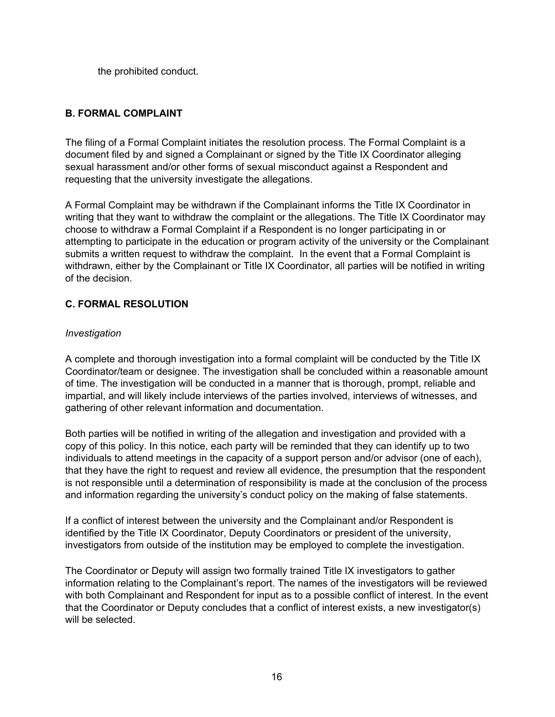the prohibited conduct.

#### **B. FORMAL COMPLAINT**

The filing of a Formal Complaint initiates the resolution process. The Formal Complaint is a document filed by and signed a Complainant or signed by the Title IX Coordinator alleging sexual harassment and/or other forms of sexual misconduct against a Respondent and requesting that the university investigate the allegations.

A Formal Complaint may be withdrawn if the Complainant informs the Title IX Coordinator in writing that they want to withdraw the complaint or the allegations. The Title IX Coordinator may choose to withdraw a Formal Complaint if a Respondent is no longer participating in or attempting to participate in the education or program activity of the university or the Complainant submits a written request to withdraw the complaint. In the event that a Formal Complaint is withdrawn, either by the Complainant or Title IX Coordinator, all parties will be notified in writing of the decision.

#### **C. FORMAL RESOLUTION**

#### *Investigation*

A complete and thorough investigation into a formal complaint will be conducted by the Title IX Coordinator/team or designee. The investigation shall be concluded within a reasonable amount of time. The investigation will be conducted in a manner that is thorough, prompt, reliable and impartial, and will likely include interviews of the parties involved, interviews of witnesses, and gathering of other relevant information and documentation.

Both parties will be notified in writing of the allegation and investigation and provided with a copy of this policy. In this notice, each party will be reminded that they can identify up to two individuals to attend meetings in the capacity of a support person and/or advisor (one of each), that they have the right to request and review all evidence, the presumption that the respondent is not responsible until a determination of responsibility is made at the conclusion of the process and information regarding the university's conduct policy on the making of false statements.

If a conflict of interest between the university and the Complainant and/or Respondent is identified by the Title IX Coordinator, Deputy Coordinators or president of the university, investigators from outside of the institution may be employed to complete the investigation.

The Coordinator or Deputy will assign two formally trained Title IX investigators to gather information relating to the Complainant's report. The names of the investigators will be reviewed with both Complainant and Respondent for input as to a possible conflict of interest. In the event that the Coordinator or Deputy concludes that a conflict of interest exists, a new investigator(s) will be selected.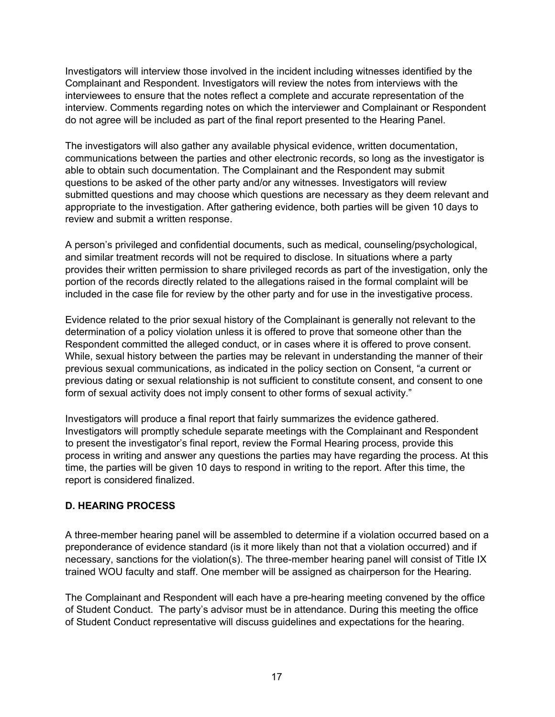Investigators will interview those involved in the incident including witnesses identified by the Complainant and Respondent. Investigators will review the notes from interviews with the interviewees to ensure that the notes reflect a complete and accurate representation of the interview. Comments regarding notes on which the interviewer and Complainant or Respondent do not agree will be included as part of the final report presented to the Hearing Panel.

The investigators will also gather any available physical evidence, written documentation, communications between the parties and other electronic records, so long as the investigator is able to obtain such documentation. The Complainant and the Respondent may submit questions to be asked of the other party and/or any witnesses. Investigators will review submitted questions and may choose which questions are necessary as they deem relevant and appropriate to the investigation. After gathering evidence, both parties will be given 10 days to review and submit a written response.

A person's privileged and confidential documents, such as medical, counseling/psychological, and similar treatment records will not be required to disclose. In situations where a party provides their written permission to share privileged records as part of the investigation, only the portion of the records directly related to the allegations raised in the formal complaint will be included in the case file for review by the other party and for use in the investigative process.

Evidence related to the prior sexual history of the Complainant is generally not relevant to the determination of a policy violation unless it is offered to prove that someone other than the Respondent committed the alleged conduct, or in cases where it is offered to prove consent. While, sexual history between the parties may be relevant in understanding the manner of their previous sexual communications, as indicated in the policy section on Consent, "a current or previous dating or sexual relationship is not sufficient to constitute consent, and consent to one form of sexual activity does not imply consent to other forms of sexual activity."

Investigators will produce a final report that fairly summarizes the evidence gathered. Investigators will promptly schedule separate meetings with the Complainant and Respondent to present the investigator's final report, review the Formal Hearing process, provide this process in writing and answer any questions the parties may have regarding the process. At this time, the parties will be given 10 days to respond in writing to the report. After this time, the report is considered finalized.

#### **D. HEARING PROCESS**

A three-member hearing panel will be assembled to determine if a violation occurred based on a preponderance of evidence standard (is it more likely than not that a violation occurred) and if necessary, sanctions for the violation(s). The three-member hearing panel will consist of Title IX trained WOU faculty and staff. One member will be assigned as chairperson for the Hearing.

The Complainant and Respondent will each have a pre-hearing meeting convened by the office of Student Conduct. The party's advisor must be in attendance. During this meeting the office of Student Conduct representative will discuss guidelines and expectations for the hearing.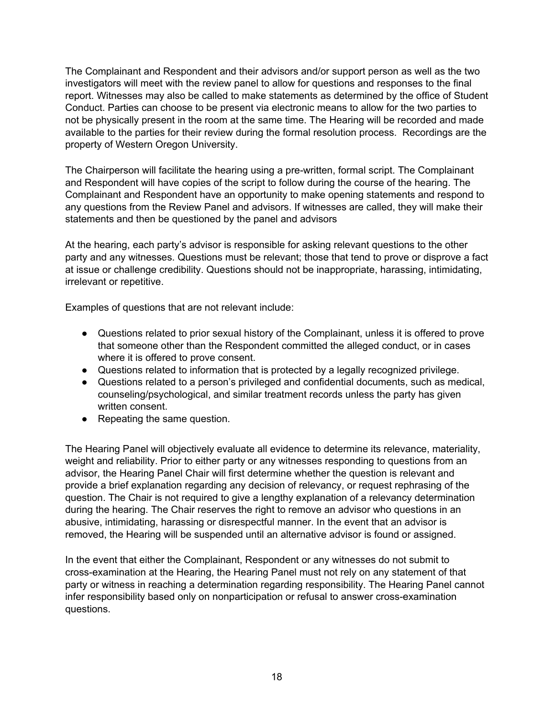The Complainant and Respondent and their advisors and/or support person as well as the two investigators will meet with the review panel to allow for questions and responses to the final report. Witnesses may also be called to make statements as determined by the office of Student Conduct. Parties can choose to be present via electronic means to allow for the two parties to not be physically present in the room at the same time. The Hearing will be recorded and made available to the parties for their review during the formal resolution process. Recordings are the property of Western Oregon University.

The Chairperson will facilitate the hearing using a pre-written, formal script. The Complainant and Respondent will have copies of the script to follow during the course of the hearing. The Complainant and Respondent have an opportunity to make opening statements and respond to any questions from the Review Panel and advisors. If witnesses are called, they will make their statements and then be questioned by the panel and advisors

At the hearing, each party's advisor is responsible for asking relevant questions to the other party and any witnesses. Questions must be relevant; those that tend to prove or disprove a fact at issue or challenge credibility. Questions should not be inappropriate, harassing, intimidating, irrelevant or repetitive.

Examples of questions that are not relevant include:

- Questions related to prior sexual history of the Complainant, unless it is offered to prove that someone other than the Respondent committed the alleged conduct, or in cases where it is offered to prove consent.
- Questions related to information that is protected by a legally recognized privilege.
- Questions related to a person's privileged and confidential documents, such as medical, counseling/psychological, and similar treatment records unless the party has given written consent.
- Repeating the same question.

The Hearing Panel will objectively evaluate all evidence to determine its relevance, materiality, weight and reliability. Prior to either party or any witnesses responding to questions from an advisor, the Hearing Panel Chair will first determine whether the question is relevant and provide a brief explanation regarding any decision of relevancy, or request rephrasing of the question. The Chair is not required to give a lengthy explanation of a relevancy determination during the hearing. The Chair reserves the right to remove an advisor who questions in an abusive, intimidating, harassing or disrespectful manner. In the event that an advisor is removed, the Hearing will be suspended until an alternative advisor is found or assigned.

In the event that either the Complainant, Respondent or any witnesses do not submit to cross-examination at the Hearing, the Hearing Panel must not rely on any statement of that party or witness in reaching a determination regarding responsibility. The Hearing Panel cannot infer responsibility based only on nonparticipation or refusal to answer cross-examination questions.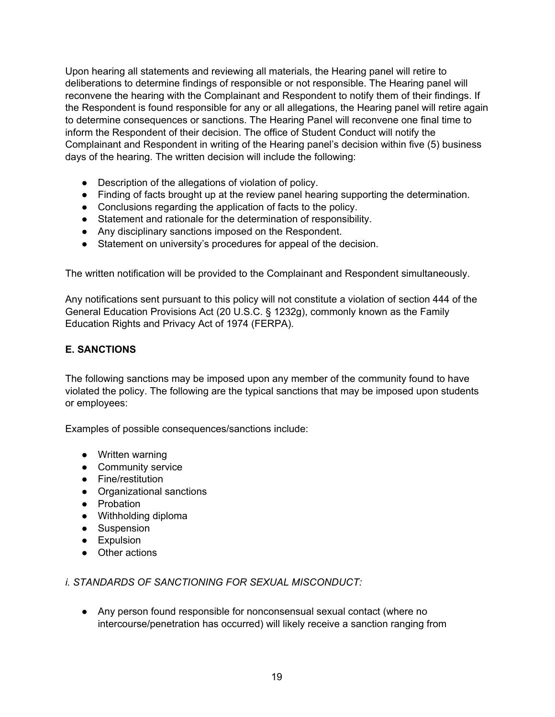Upon hearing all statements and reviewing all materials, the Hearing panel will retire to deliberations to determine findings of responsible or not responsible. The Hearing panel will reconvene the hearing with the Complainant and Respondent to notify them of their findings. If the Respondent is found responsible for any or all allegations, the Hearing panel will retire again to determine consequences or sanctions. The Hearing Panel will reconvene one final time to inform the Respondent of their decision. The office of Student Conduct will notify the Complainant and Respondent in writing of the Hearing panel's decision within five (5) business days of the hearing. The written decision will include the following:

- Description of the allegations of violation of policy.
- Finding of facts brought up at the review panel hearing supporting the determination.
- Conclusions regarding the application of facts to the policy.
- Statement and rationale for the determination of responsibility.
- Any disciplinary sanctions imposed on the Respondent.
- Statement on university's procedures for appeal of the decision.

The written notification will be provided to the Complainant and Respondent simultaneously.

Any notifications sent pursuant to this policy will not constitute a violation of section 444 of the General Education Provisions Act (20 U.S.C. § 1232g), commonly known as the Family Education Rights and Privacy Act of 1974 (FERPA).

#### **E. SANCTIONS**

The following sanctions may be imposed upon any member of the community found to have violated the policy. The following are the typical sanctions that may be imposed upon students or employees:

Examples of possible consequences/sanctions include:

- Written warning
- Community service
- Fine/restitution
- Organizational sanctions
- Probation
- Withholding diploma
- Suspension
- Expulsion
- Other actions

*i. STANDARDS OF SANCTIONING FOR SEXUAL MISCONDUCT:*

● Any person found responsible for nonconsensual sexual contact (where no intercourse/penetration has occurred) will likely receive a sanction ranging from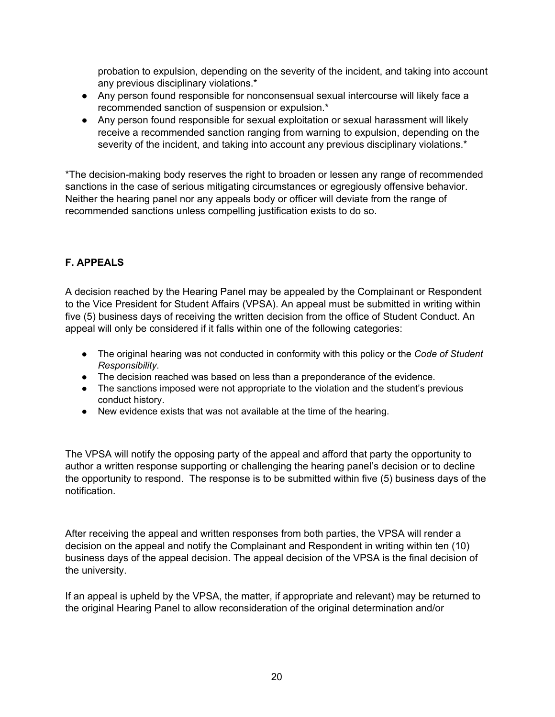probation to expulsion, depending on the severity of the incident, and taking into account any previous disciplinary violations.\*

- Any person found responsible for nonconsensual sexual intercourse will likely face a recommended sanction of suspension or expulsion.\*
- Any person found responsible for sexual exploitation or sexual harassment will likely receive a recommended sanction ranging from warning to expulsion, depending on the severity of the incident, and taking into account any previous disciplinary violations.<sup>\*</sup>

\*The decision-making body reserves the right to broaden or lessen any range of recommended sanctions in the case of serious mitigating circumstances or egregiously offensive behavior. Neither the hearing panel nor any appeals body or officer will deviate from the range of recommended sanctions unless compelling justification exists to do so.

## **F. APPEALS**

A decision reached by the Hearing Panel may be appealed by the Complainant or Respondent to the Vice President for Student Affairs (VPSA). An appeal must be submitted in writing within five (5) business days of receiving the written decision from the office of Student Conduct. An appeal will only be considered if it falls within one of the following categories:

- The original hearing was not conducted in conformity with this policy or the *Code of Student Responsibility*.
- The decision reached was based on less than a preponderance of the evidence.
- The sanctions imposed were not appropriate to the violation and the student's previous conduct history.
- New evidence exists that was not available at the time of the hearing.

The VPSA will notify the opposing party of the appeal and afford that party the opportunity to author a written response supporting or challenging the hearing panel's decision or to decline the opportunity to respond. The response is to be submitted within five (5) business days of the notification.

After receiving the appeal and written responses from both parties, the VPSA will render a decision on the appeal and notify the Complainant and Respondent in writing within ten (10) business days of the appeal decision. The appeal decision of the VPSA is the final decision of the university.

If an appeal is upheld by the VPSA, the matter, if appropriate and relevant) may be returned to the original Hearing Panel to allow reconsideration of the original determination and/or